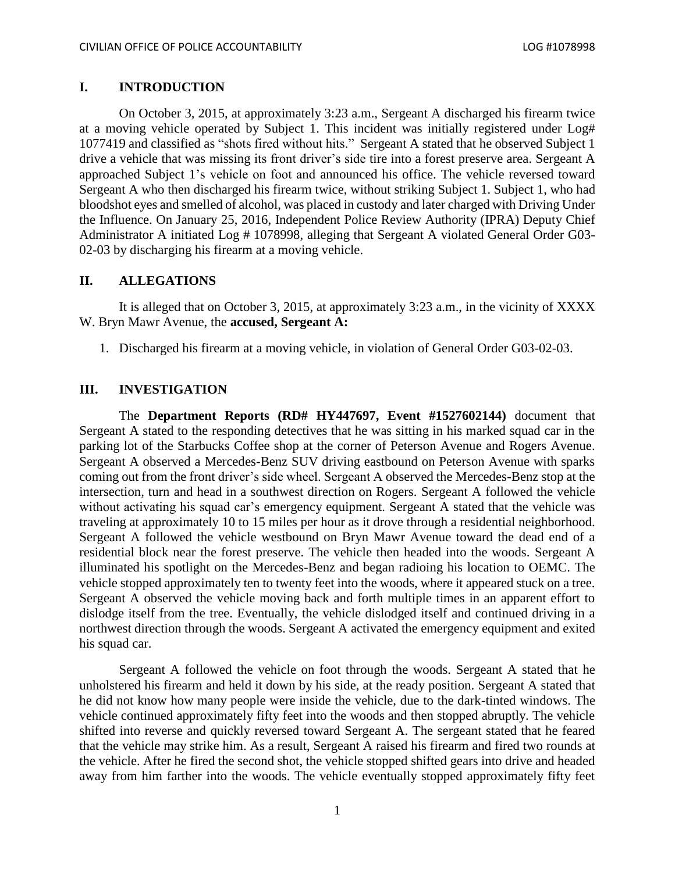## **I. INTRODUCTION**

On October 3, 2015, at approximately 3:23 a.m., Sergeant A discharged his firearm twice at a moving vehicle operated by Subject 1. This incident was initially registered under Log# 1077419 and classified as "shots fired without hits." Sergeant A stated that he observed Subject 1 drive a vehicle that was missing its front driver's side tire into a forest preserve area. Sergeant A approached Subject 1's vehicle on foot and announced his office. The vehicle reversed toward Sergeant A who then discharged his firearm twice, without striking Subject 1. Subject 1, who had bloodshot eyes and smelled of alcohol, was placed in custody and later charged with Driving Under the Influence. On January 25, 2016, Independent Police Review Authority (IPRA) Deputy Chief Administrator A initiated Log # 1078998, alleging that Sergeant A violated General Order G03- 02-03 by discharging his firearm at a moving vehicle.

### **II. ALLEGATIONS**

It is alleged that on October 3, 2015, at approximately 3:23 a.m., in the vicinity of XXXX W. Bryn Mawr Avenue, the **accused, Sergeant A:**

1. Discharged his firearm at a moving vehicle, in violation of General Order G03-02-03.

### **III. INVESTIGATION**

The **Department Reports (RD# HY447697, Event #1527602144)** document that Sergeant A stated to the responding detectives that he was sitting in his marked squad car in the parking lot of the Starbucks Coffee shop at the corner of Peterson Avenue and Rogers Avenue. Sergeant A observed a Mercedes-Benz SUV driving eastbound on Peterson Avenue with sparks coming out from the front driver's side wheel. Sergeant A observed the Mercedes-Benz stop at the intersection, turn and head in a southwest direction on Rogers. Sergeant A followed the vehicle without activating his squad car's emergency equipment. Sergeant A stated that the vehicle was traveling at approximately 10 to 15 miles per hour as it drove through a residential neighborhood. Sergeant A followed the vehicle westbound on Bryn Mawr Avenue toward the dead end of a residential block near the forest preserve. The vehicle then headed into the woods. Sergeant A illuminated his spotlight on the Mercedes-Benz and began radioing his location to OEMC. The vehicle stopped approximately ten to twenty feet into the woods, where it appeared stuck on a tree. Sergeant A observed the vehicle moving back and forth multiple times in an apparent effort to dislodge itself from the tree. Eventually, the vehicle dislodged itself and continued driving in a northwest direction through the woods. Sergeant A activated the emergency equipment and exited his squad car.

Sergeant A followed the vehicle on foot through the woods. Sergeant A stated that he unholstered his firearm and held it down by his side, at the ready position. Sergeant A stated that he did not know how many people were inside the vehicle, due to the dark-tinted windows. The vehicle continued approximately fifty feet into the woods and then stopped abruptly. The vehicle shifted into reverse and quickly reversed toward Sergeant A. The sergeant stated that he feared that the vehicle may strike him. As a result, Sergeant A raised his firearm and fired two rounds at the vehicle. After he fired the second shot, the vehicle stopped shifted gears into drive and headed away from him farther into the woods. The vehicle eventually stopped approximately fifty feet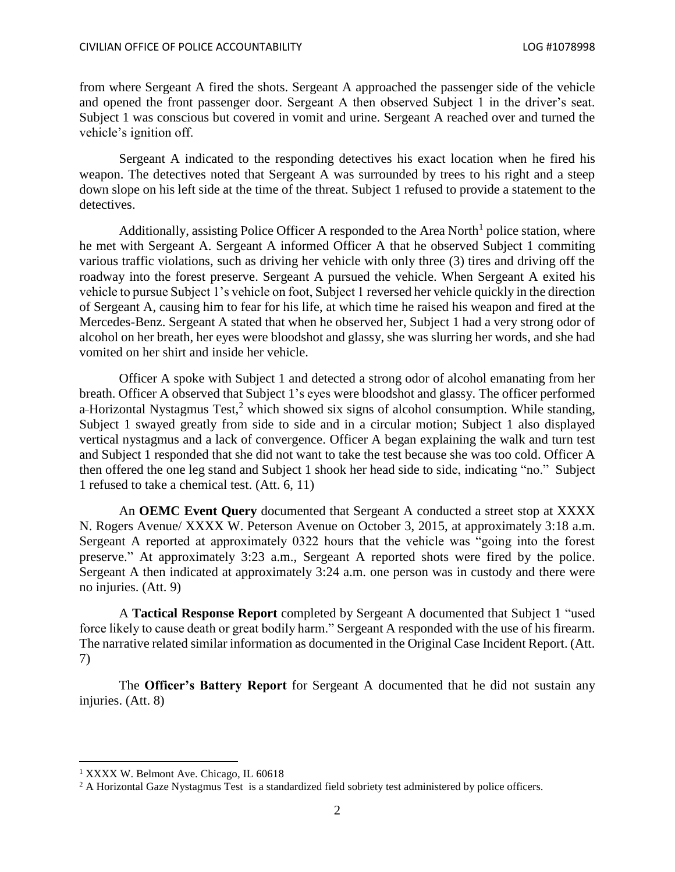from where Sergeant A fired the shots. Sergeant A approached the passenger side of the vehicle and opened the front passenger door. Sergeant A then observed Subject 1 in the driver's seat. Subject 1 was conscious but covered in vomit and urine. Sergeant A reached over and turned the vehicle's ignition off.

Sergeant A indicated to the responding detectives his exact location when he fired his weapon. The detectives noted that Sergeant A was surrounded by trees to his right and a steep down slope on his left side at the time of the threat. Subject 1 refused to provide a statement to the detectives.

Additionally, assisting Police Officer A responded to the Area North<sup>1</sup> police station, where he met with Sergeant A. Sergeant A informed Officer A that he observed Subject 1 commiting various traffic violations, such as driving her vehicle with only three (3) tires and driving off the roadway into the forest preserve. Sergeant A pursued the vehicle. When Sergeant A exited his vehicle to pursue Subject 1's vehicle on foot, Subject 1 reversed her vehicle quickly in the direction of Sergeant A, causing him to fear for his life, at which time he raised his weapon and fired at the Mercedes-Benz. Sergeant A stated that when he observed her, Subject 1 had a very strong odor of alcohol on her breath, her eyes were bloodshot and glassy, she was slurring her words, and she had vomited on her shirt and inside her vehicle.

Officer A spoke with Subject 1 and detected a strong odor of alcohol emanating from her breath. Officer A observed that Subject 1's eyes were bloodshot and glassy. The officer performed a-Horizontal Nystagmus Test, $<sup>2</sup>$  which showed six signs of alcohol consumption. While standing,</sup> Subject 1 swayed greatly from side to side and in a circular motion; Subject 1 also displayed vertical nystagmus and a lack of convergence. Officer A began explaining the walk and turn test and Subject 1 responded that she did not want to take the test because she was too cold. Officer A then offered the one leg stand and Subject 1 shook her head side to side, indicating "no." Subject 1 refused to take a chemical test. (Att. 6, 11)

An **OEMC Event Query** documented that Sergeant A conducted a street stop at XXXX N. Rogers Avenue/ XXXX W. Peterson Avenue on October 3, 2015, at approximately 3:18 a.m. Sergeant A reported at approximately 0322 hours that the vehicle was "going into the forest preserve." At approximately 3:23 a.m., Sergeant A reported shots were fired by the police. Sergeant A then indicated at approximately 3:24 a.m. one person was in custody and there were no injuries. (Att. 9)

A **Tactical Response Report** completed by Sergeant A documented that Subject 1 "used force likely to cause death or great bodily harm." Sergeant A responded with the use of his firearm. The narrative related similar information as documented in the Original Case Incident Report. (Att. 7)

The **Officer's Battery Report** for Sergeant A documented that he did not sustain any injuries. (Att. 8)

<sup>&</sup>lt;sup>1</sup> XXXX W. Belmont Ave. Chicago, IL 60618

<sup>&</sup>lt;sup>2</sup> A Horizontal Gaze Nystagmus Test is a standardized field sobriety test administered by police officers.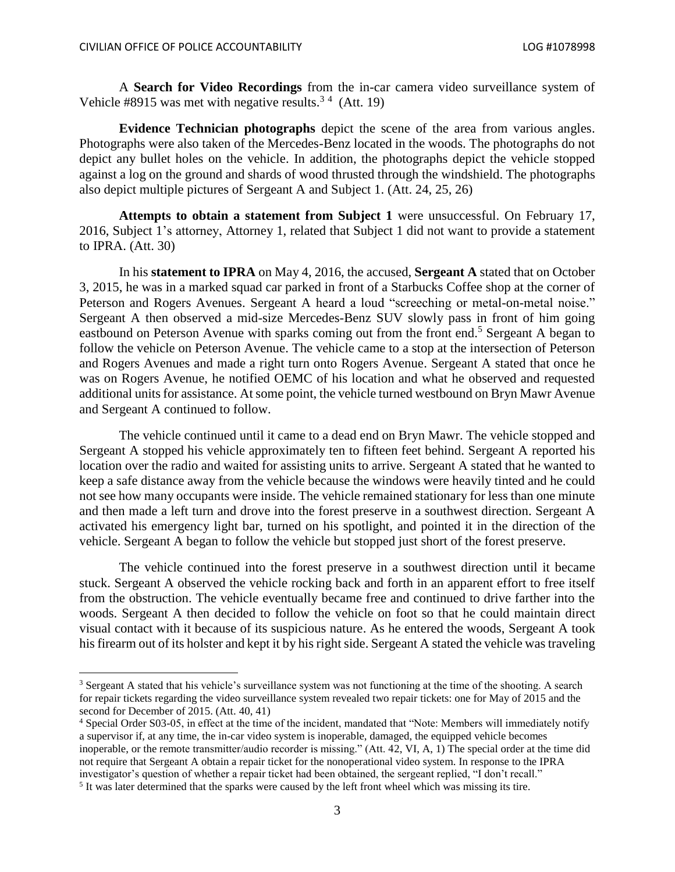$\overline{\phantom{a}}$ 

A **Search for Video Recordings** from the in-car camera video surveillance system of Vehicle #8915 was met with negative results.<sup>34</sup> (Att. 19)

**Evidence Technician photographs** depict the scene of the area from various angles. Photographs were also taken of the Mercedes-Benz located in the woods. The photographs do not depict any bullet holes on the vehicle. In addition, the photographs depict the vehicle stopped against a log on the ground and shards of wood thrusted through the windshield. The photographs also depict multiple pictures of Sergeant A and Subject 1. (Att. 24, 25, 26)

**Attempts to obtain a statement from Subject 1** were unsuccessful. On February 17, 2016, Subject 1's attorney, Attorney 1, related that Subject 1 did not want to provide a statement to IPRA. (Att. 30)

In his **statement to IPRA** on May 4, 2016, the accused, **Sergeant A** stated that on October 3, 2015, he was in a marked squad car parked in front of a Starbucks Coffee shop at the corner of Peterson and Rogers Avenues. Sergeant A heard a loud "screeching or metal-on-metal noise." Sergeant A then observed a mid-size Mercedes-Benz SUV slowly pass in front of him going eastbound on Peterson Avenue with sparks coming out from the front end.<sup>5</sup> Sergeant A began to follow the vehicle on Peterson Avenue. The vehicle came to a stop at the intersection of Peterson and Rogers Avenues and made a right turn onto Rogers Avenue. Sergeant A stated that once he was on Rogers Avenue, he notified OEMC of his location and what he observed and requested additional units for assistance. At some point, the vehicle turned westbound on Bryn Mawr Avenue and Sergeant A continued to follow.

The vehicle continued until it came to a dead end on Bryn Mawr. The vehicle stopped and Sergeant A stopped his vehicle approximately ten to fifteen feet behind. Sergeant A reported his location over the radio and waited for assisting units to arrive. Sergeant A stated that he wanted to keep a safe distance away from the vehicle because the windows were heavily tinted and he could not see how many occupants were inside. The vehicle remained stationary for less than one minute and then made a left turn and drove into the forest preserve in a southwest direction. Sergeant A activated his emergency light bar, turned on his spotlight, and pointed it in the direction of the vehicle. Sergeant A began to follow the vehicle but stopped just short of the forest preserve.

The vehicle continued into the forest preserve in a southwest direction until it became stuck. Sergeant A observed the vehicle rocking back and forth in an apparent effort to free itself from the obstruction. The vehicle eventually became free and continued to drive farther into the woods. Sergeant A then decided to follow the vehicle on foot so that he could maintain direct visual contact with it because of its suspicious nature. As he entered the woods, Sergeant A took his firearm out of its holster and kept it by his right side. Sergeant A stated the vehicle was traveling

<sup>3</sup> Sergeant A stated that his vehicle's surveillance system was not functioning at the time of the shooting. A search for repair tickets regarding the video surveillance system revealed two repair tickets: one for May of 2015 and the second for December of 2015. (Att. 40, 41)

<sup>4</sup> Special Order S03-05, in effect at the time of the incident, mandated that "Note: Members will immediately notify a supervisor if, at any time, the in-car video system is inoperable, damaged, the equipped vehicle becomes inoperable, or the remote transmitter/audio recorder is missing." (Att. 42, VI, A, 1) The special order at the time did not require that Sergeant A obtain a repair ticket for the nonoperational video system. In response to the IPRA investigator's question of whether a repair ticket had been obtained, the sergeant replied, "I don't recall."

<sup>&</sup>lt;sup>5</sup> It was later determined that the sparks were caused by the left front wheel which was missing its tire.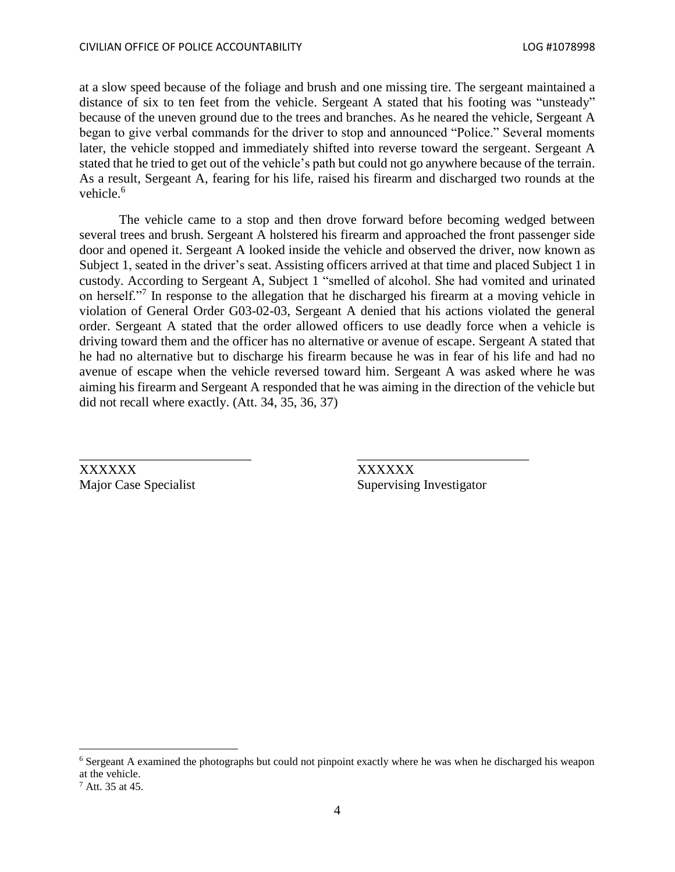at a slow speed because of the foliage and brush and one missing tire. The sergeant maintained a distance of six to ten feet from the vehicle. Sergeant A stated that his footing was "unsteady" because of the uneven ground due to the trees and branches. As he neared the vehicle, Sergeant A began to give verbal commands for the driver to stop and announced "Police." Several moments later, the vehicle stopped and immediately shifted into reverse toward the sergeant. Sergeant A stated that he tried to get out of the vehicle's path but could not go anywhere because of the terrain. As a result, Sergeant A, fearing for his life, raised his firearm and discharged two rounds at the vehicle. 6

The vehicle came to a stop and then drove forward before becoming wedged between several trees and brush. Sergeant A holstered his firearm and approached the front passenger side door and opened it. Sergeant A looked inside the vehicle and observed the driver, now known as Subject 1, seated in the driver's seat. Assisting officers arrived at that time and placed Subject 1 in custody. According to Sergeant A, Subject 1 "smelled of alcohol. She had vomited and urinated on herself."<sup>7</sup> In response to the allegation that he discharged his firearm at a moving vehicle in violation of General Order G03-02-03, Sergeant A denied that his actions violated the general order. Sergeant A stated that the order allowed officers to use deadly force when a vehicle is driving toward them and the officer has no alternative or avenue of escape. Sergeant A stated that he had no alternative but to discharge his firearm because he was in fear of his life and had no avenue of escape when the vehicle reversed toward him. Sergeant A was asked where he was aiming his firearm and Sergeant A responded that he was aiming in the direction of the vehicle but did not recall where exactly. (Att. 34, 35, 36, 37)

\_\_\_\_\_\_\_\_\_\_\_\_\_\_\_\_\_\_\_\_\_\_\_\_\_\_ \_\_\_\_\_\_\_\_\_\_\_\_\_\_\_\_\_\_\_\_\_\_\_\_\_\_

XXXXXX XXXXXX

Major Case Specialist Supervising Investigator

 $\overline{\phantom{a}}$ 

<sup>6</sup> Sergeant A examined the photographs but could not pinpoint exactly where he was when he discharged his weapon at the vehicle.

<sup>7</sup> Att. 35 at 45.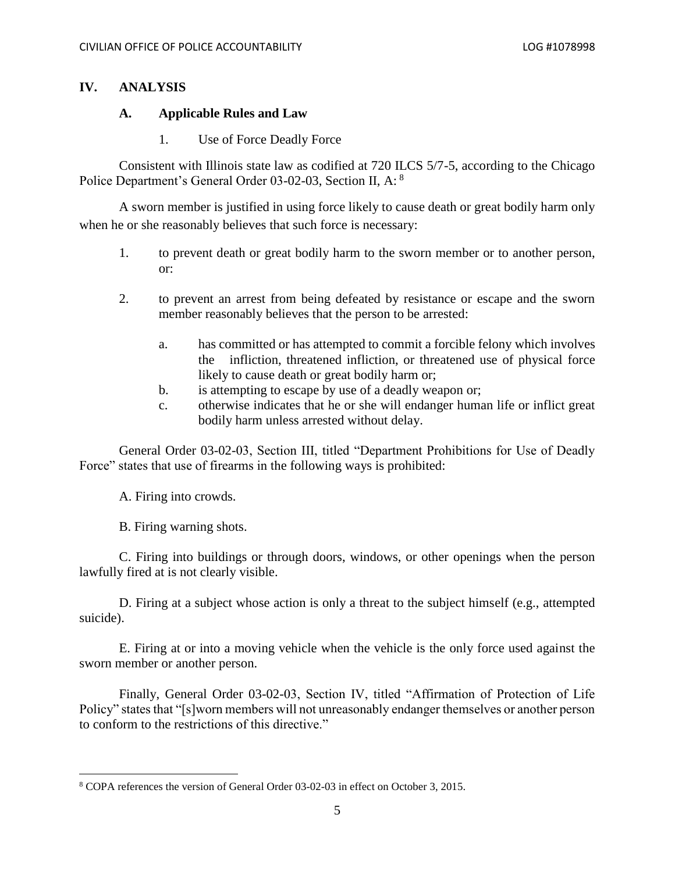## **IV. ANALYSIS**

#### **A. Applicable Rules and Law**

1. Use of Force Deadly Force

Consistent with Illinois state law as codified at 720 ILCS 5/7-5, according to the Chicago Police Department's General Order 03-02-03, Section II, A: <sup>8</sup>

A sworn member is justified in using force likely to cause death or great bodily harm only when he or she reasonably believes that such force is necessary:

- 1. to prevent death or great bodily harm to the sworn member or to another person, or:
- 2. to prevent an arrest from being defeated by resistance or escape and the sworn member reasonably believes that the person to be arrested:
	- a. has committed or has attempted to commit a forcible felony which involves the infliction, threatened infliction, or threatened use of physical force likely to cause death or great bodily harm or;
	- b. is attempting to escape by use of a deadly weapon or;
	- c. otherwise indicates that he or she will endanger human life or inflict great bodily harm unless arrested without delay.

General Order 03-02-03, Section III, titled "Department Prohibitions for Use of Deadly Force" states that use of firearms in the following ways is prohibited:

A. Firing into crowds.

B. Firing warning shots.

 $\overline{\phantom{a}}$ 

C. Firing into buildings or through doors, windows, or other openings when the person lawfully fired at is not clearly visible.

D. Firing at a subject whose action is only a threat to the subject himself (e.g., attempted suicide).

E. Firing at or into a moving vehicle when the vehicle is the only force used against the sworn member or another person.

Finally, General Order 03-02-03, Section IV, titled "Affirmation of Protection of Life Policy" states that "[s]worn members will not unreasonably endanger themselves or another person to conform to the restrictions of this directive."

<sup>8</sup> COPA references the version of General Order 03-02-03 in effect on October 3, 2015.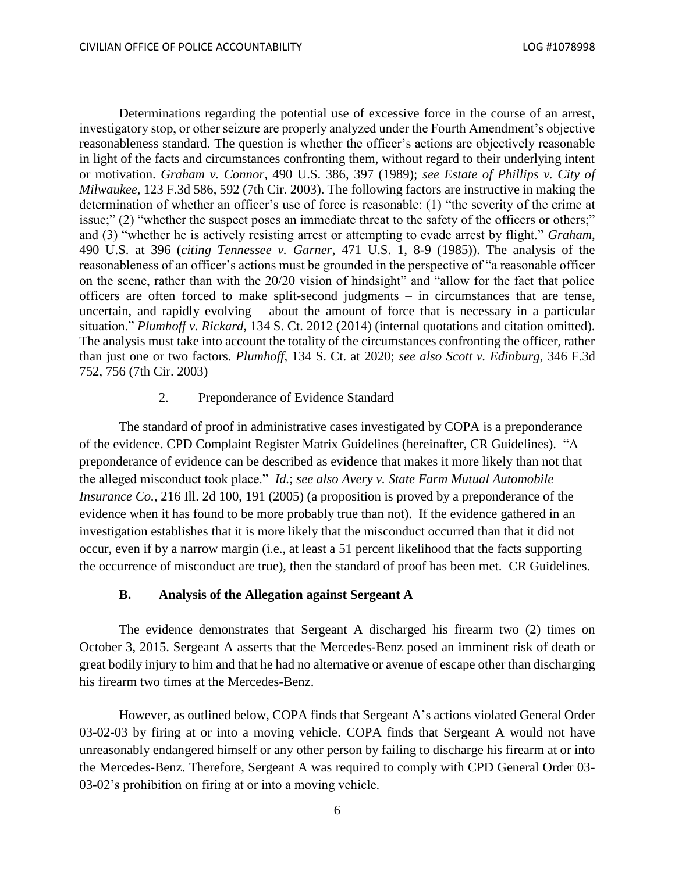Determinations regarding the potential use of excessive force in the course of an arrest, investigatory stop, or other seizure are properly analyzed under the Fourth Amendment's objective reasonableness standard. The question is whether the officer's actions are objectively reasonable in light of the facts and circumstances confronting them, without regard to their underlying intent or motivation. *Graham v. Connor*, 490 U.S. 386, 397 (1989); *see Estate of Phillips v. City of Milwaukee*, 123 F.3d 586, 592 (7th Cir. 2003). The following factors are instructive in making the determination of whether an officer's use of force is reasonable: (1) "the severity of the crime at issue;" (2) "whether the suspect poses an immediate threat to the safety of the officers or others;" and (3) "whether he is actively resisting arrest or attempting to evade arrest by flight." *Graham*, 490 U.S. at 396 (*citing Tennessee v. Garner*, 471 U.S. 1, 8-9 (1985)). The analysis of the reasonableness of an officer's actions must be grounded in the perspective of "a reasonable officer on the scene, rather than with the 20/20 vision of hindsight" and "allow for the fact that police officers are often forced to make split-second judgments – in circumstances that are tense, uncertain, and rapidly evolving – about the amount of force that is necessary in a particular situation." *Plumhoff v. Rickard*, 134 S. Ct. 2012 (2014) (internal quotations and citation omitted). The analysis must take into account the totality of the circumstances confronting the officer, rather than just one or two factors. *Plumhoff*, 134 S. Ct. at 2020; *see also Scott v. Edinburg*, 346 F.3d 752, 756 (7th Cir. 2003)

#### 2. Preponderance of Evidence Standard

The standard of proof in administrative cases investigated by COPA is a preponderance of the evidence. CPD Complaint Register Matrix Guidelines (hereinafter, CR Guidelines). "A preponderance of evidence can be described as evidence that makes it more likely than not that the alleged misconduct took place." *Id.*; *see also Avery v. State Farm Mutual Automobile Insurance Co.*, 216 Ill. 2d 100, 191 (2005) (a proposition is proved by a preponderance of the evidence when it has found to be more probably true than not). If the evidence gathered in an investigation establishes that it is more likely that the misconduct occurred than that it did not occur, even if by a narrow margin (i.e., at least a 51 percent likelihood that the facts supporting the occurrence of misconduct are true), then the standard of proof has been met. CR Guidelines.

#### **B. Analysis of the Allegation against Sergeant A**

The evidence demonstrates that Sergeant A discharged his firearm two (2) times on October 3, 2015. Sergeant A asserts that the Mercedes-Benz posed an imminent risk of death or great bodily injury to him and that he had no alternative or avenue of escape other than discharging his firearm two times at the Mercedes-Benz.

However, as outlined below, COPA finds that Sergeant A's actions violated General Order 03-02-03 by firing at or into a moving vehicle. COPA finds that Sergeant A would not have unreasonably endangered himself or any other person by failing to discharge his firearm at or into the Mercedes-Benz. Therefore, Sergeant A was required to comply with CPD General Order 03- 03-02's prohibition on firing at or into a moving vehicle.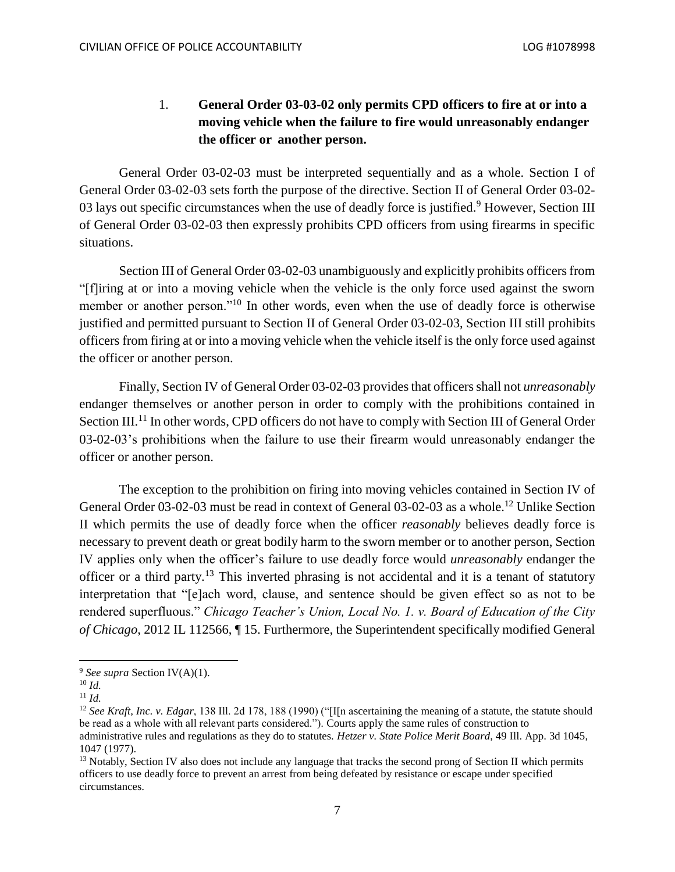# 1. **General Order 03-03-02 only permits CPD officers to fire at or into a moving vehicle when the failure to fire would unreasonably endanger the officer or another person.**

General Order 03-02-03 must be interpreted sequentially and as a whole. Section I of General Order 03-02-03 sets forth the purpose of the directive. Section II of General Order 03-02- 03 lays out specific circumstances when the use of deadly force is justified.<sup>9</sup> However, Section III of General Order 03-02-03 then expressly prohibits CPD officers from using firearms in specific situations.

Section III of General Order 03-02-03 unambiguously and explicitly prohibits officers from "[f]iring at or into a moving vehicle when the vehicle is the only force used against the sworn member or another person."<sup>10</sup> In other words, even when the use of deadly force is otherwise justified and permitted pursuant to Section II of General Order 03-02-03, Section III still prohibits officers from firing at or into a moving vehicle when the vehicle itself is the only force used against the officer or another person.

Finally, Section IV of General Order 03-02-03 provides that officers shall not *unreasonably*  endanger themselves or another person in order to comply with the prohibitions contained in Section III.<sup>11</sup> In other words, CPD officers do not have to comply with Section III of General Order 03-02-03's prohibitions when the failure to use their firearm would unreasonably endanger the officer or another person.

The exception to the prohibition on firing into moving vehicles contained in Section IV of General Order 03-02-03 must be read in context of General 03-02-03 as a whole.<sup>12</sup> Unlike Section II which permits the use of deadly force when the officer *reasonably* believes deadly force is necessary to prevent death or great bodily harm to the sworn member or to another person, Section IV applies only when the officer's failure to use deadly force would *unreasonably* endanger the officer or a third party.<sup>13</sup> This inverted phrasing is not accidental and it is a tenant of statutory interpretation that "[e]ach word, clause, and sentence should be given effect so as not to be rendered superfluous." *Chicago Teacher's Union, Local No. 1. v. Board of Education of the City of Chicago*, 2012 IL 112566, ¶ 15. Furthermore, the Superintendent specifically modified General

<sup>9</sup> *See supra* Section IV(A)(1).

<sup>10</sup> *Id.* 

 $11$  *Id.* 

<sup>&</sup>lt;sup>12</sup> See Kraft, Inc. v. Edgar, 138 Ill. 2d 178, 188 (1990) ("Illn ascertaining the meaning of a statute, the statute should be read as a whole with all relevant parts considered."). Courts apply the same rules of construction to administrative rules and regulations as they do to statutes. *Hetzer v. State Police Merit Board*, 49 Ill. App. 3d 1045, 1047 (1977).

<sup>&</sup>lt;sup>13</sup> Notably, Section IV also does not include any language that tracks the second prong of Section II which permits officers to use deadly force to prevent an arrest from being defeated by resistance or escape under specified circumstances.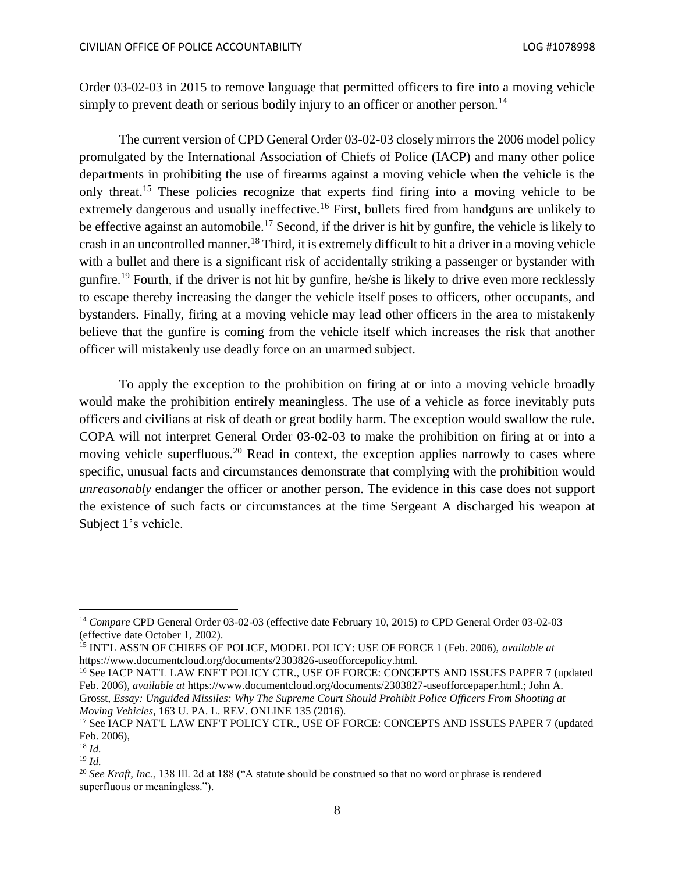Order 03-02-03 in 2015 to remove language that permitted officers to fire into a moving vehicle simply to prevent death or serious bodily injury to an officer or another person.<sup>14</sup>

The current version of CPD General Order 03-02-03 closely mirrors the 2006 model policy promulgated by the International Association of Chiefs of Police (IACP) and many other police departments in prohibiting the use of firearms against a moving vehicle when the vehicle is the only threat.<sup>15</sup> These policies recognize that experts find firing into a moving vehicle to be extremely dangerous and usually ineffective.<sup>16</sup> First, bullets fired from handguns are unlikely to be effective against an automobile.<sup>17</sup> Second, if the driver is hit by gunfire, the vehicle is likely to crash in an uncontrolled manner.<sup>18</sup> Third, it is extremely difficult to hit a driver in a moving vehicle with a bullet and there is a significant risk of accidentally striking a passenger or bystander with gunfire.<sup>19</sup> Fourth, if the driver is not hit by gunfire, he/she is likely to drive even more recklessly to escape thereby increasing the danger the vehicle itself poses to officers, other occupants, and bystanders. Finally, firing at a moving vehicle may lead other officers in the area to mistakenly believe that the gunfire is coming from the vehicle itself which increases the risk that another officer will mistakenly use deadly force on an unarmed subject.

To apply the exception to the prohibition on firing at or into a moving vehicle broadly would make the prohibition entirely meaningless. The use of a vehicle as force inevitably puts officers and civilians at risk of death or great bodily harm. The exception would swallow the rule. COPA will not interpret General Order 03-02-03 to make the prohibition on firing at or into a moving vehicle superfluous.<sup>20</sup> Read in context, the exception applies narrowly to cases where specific, unusual facts and circumstances demonstrate that complying with the prohibition would *unreasonably* endanger the officer or another person. The evidence in this case does not support the existence of such facts or circumstances at the time Sergeant A discharged his weapon at Subject 1's vehicle.

<sup>16</sup> See IACP NAT'L LAW ENF'T POLICY CTR., USE OF FORCE: CONCEPTS AND ISSUES PAPER 7 (updated Feb. 2006), *available at* https://www.documentcloud.org/documents/2303827-useofforcepaper.html*.*; John A. Grosst, *Essay: Unguided Missiles: Why The Supreme Court Should Prohibit Police Officers From Shooting at Moving Vehicles*, 163 U. PA. L. REV. ONLINE 135 (2016).

<sup>14</sup> *Compare* CPD General Order 03-02-03 (effective date February 10, 2015) *to* CPD General Order 03-02-03 (effective date October 1, 2002).

<sup>15</sup> INT'L ASS'N OF CHIEFS OF POLICE, MODEL POLICY: USE OF FORCE 1 (Feb. 2006), *available at*  https://www.documentcloud.org/documents/2303826-useofforcepolicy.html.

<sup>&</sup>lt;sup>17</sup> See IACP NAT'L LAW ENF'T POLICY CTR., USE OF FORCE: CONCEPTS AND ISSUES PAPER 7 (updated Feb. 2006),

 $18$  *Id.* 

 $19$  *Id.* 

<sup>20</sup> *See Kraft, Inc.*, 138 Ill. 2d at 188 ("A statute should be construed so that no word or phrase is rendered superfluous or meaningless.").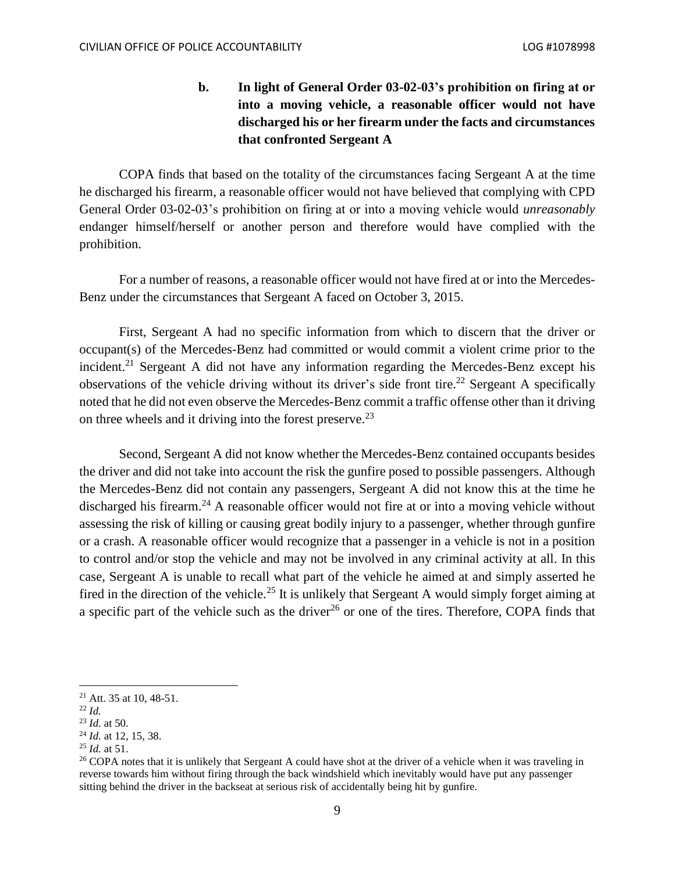**b. In light of General Order 03-02-03's prohibition on firing at or into a moving vehicle, a reasonable officer would not have discharged his or her firearm under the facts and circumstances that confronted Sergeant A**

COPA finds that based on the totality of the circumstances facing Sergeant A at the time he discharged his firearm, a reasonable officer would not have believed that complying with CPD General Order 03-02-03's prohibition on firing at or into a moving vehicle would *unreasonably*  endanger himself/herself or another person and therefore would have complied with the prohibition.

For a number of reasons, a reasonable officer would not have fired at or into the Mercedes-Benz under the circumstances that Sergeant A faced on October 3, 2015.

First, Sergeant A had no specific information from which to discern that the driver or occupant(s) of the Mercedes-Benz had committed or would commit a violent crime prior to the incident.<sup>21</sup> Sergeant A did not have any information regarding the Mercedes-Benz except his observations of the vehicle driving without its driver's side front tire.<sup>22</sup> Sergeant A specifically noted that he did not even observe the Mercedes-Benz commit a traffic offense other than it driving on three wheels and it driving into the forest preserve.<sup>23</sup>

Second, Sergeant A did not know whether the Mercedes-Benz contained occupants besides the driver and did not take into account the risk the gunfire posed to possible passengers. Although the Mercedes-Benz did not contain any passengers, Sergeant A did not know this at the time he discharged his firearm.<sup>24</sup> A reasonable officer would not fire at or into a moving vehicle without assessing the risk of killing or causing great bodily injury to a passenger, whether through gunfire or a crash. A reasonable officer would recognize that a passenger in a vehicle is not in a position to control and/or stop the vehicle and may not be involved in any criminal activity at all. In this case, Sergeant A is unable to recall what part of the vehicle he aimed at and simply asserted he fired in the direction of the vehicle.<sup>25</sup> It is unlikely that Sergeant A would simply forget aiming at a specific part of the vehicle such as the driver<sup>26</sup> or one of the tires. Therefore, COPA finds that

<sup>21</sup> Att. 35 at 10, 48-51.

<sup>22</sup> *Id.*

<sup>23</sup> *Id.* at 50.

<sup>24</sup> *Id.* at 12, 15, 38.

<sup>25</sup> *Id.* at 51.

<sup>&</sup>lt;sup>26</sup> COPA notes that it is unlikely that Sergeant A could have shot at the driver of a vehicle when it was traveling in reverse towards him without firing through the back windshield which inevitably would have put any passenger sitting behind the driver in the backseat at serious risk of accidentally being hit by gunfire.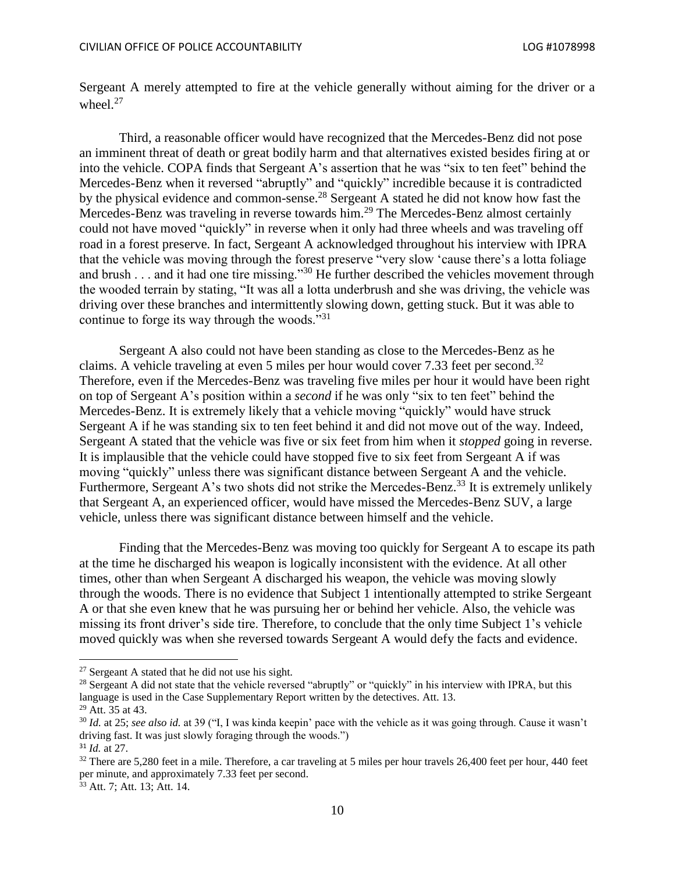Sergeant A merely attempted to fire at the vehicle generally without aiming for the driver or a wheel.<sup>27</sup>

Third, a reasonable officer would have recognized that the Mercedes-Benz did not pose an imminent threat of death or great bodily harm and that alternatives existed besides firing at or into the vehicle. COPA finds that Sergeant A's assertion that he was "six to ten feet" behind the Mercedes-Benz when it reversed "abruptly" and "quickly" incredible because it is contradicted by the physical evidence and common-sense.<sup>28</sup> Sergeant A stated he did not know how fast the Mercedes-Benz was traveling in reverse towards him.<sup>29</sup> The Mercedes-Benz almost certainly could not have moved "quickly" in reverse when it only had three wheels and was traveling off road in a forest preserve. In fact, Sergeant A acknowledged throughout his interview with IPRA that the vehicle was moving through the forest preserve "very slow 'cause there's a lotta foliage and brush . . . and it had one tire missing."<sup>30</sup> He further described the vehicles movement through the wooded terrain by stating, "It was all a lotta underbrush and she was driving, the vehicle was driving over these branches and intermittently slowing down, getting stuck. But it was able to continue to forge its way through the woods."<sup>31</sup>

Sergeant A also could not have been standing as close to the Mercedes-Benz as he claims. A vehicle traveling at even 5 miles per hour would cover 7.33 feet per second.<sup>32</sup> Therefore, even if the Mercedes-Benz was traveling five miles per hour it would have been right on top of Sergeant A's position within a *second* if he was only "six to ten feet" behind the Mercedes-Benz. It is extremely likely that a vehicle moving "quickly" would have struck Sergeant A if he was standing six to ten feet behind it and did not move out of the way. Indeed, Sergeant A stated that the vehicle was five or six feet from him when it *stopped* going in reverse. It is implausible that the vehicle could have stopped five to six feet from Sergeant A if was moving "quickly" unless there was significant distance between Sergeant A and the vehicle. Furthermore, Sergeant A's two shots did not strike the Mercedes-Benz.<sup>33</sup> It is extremely unlikely that Sergeant A, an experienced officer, would have missed the Mercedes-Benz SUV, a large vehicle, unless there was significant distance between himself and the vehicle.

Finding that the Mercedes-Benz was moving too quickly for Sergeant A to escape its path at the time he discharged his weapon is logically inconsistent with the evidence. At all other times, other than when Sergeant A discharged his weapon, the vehicle was moving slowly through the woods. There is no evidence that Subject 1 intentionally attempted to strike Sergeant A or that she even knew that he was pursuing her or behind her vehicle. Also, the vehicle was missing its front driver's side tire. Therefore, to conclude that the only time Subject 1's vehicle moved quickly was when she reversed towards Sergeant A would defy the facts and evidence.

 $27$  Sergeant A stated that he did not use his sight.

<sup>&</sup>lt;sup>28</sup> Sergeant A did not state that the vehicle reversed "abruptly" or "quickly" in his interview with IPRA, but this language is used in the Case Supplementary Report written by the detectives. Att. 13. <sup>29</sup> Att. 35 at 43.

<sup>30</sup> *Id.* at 25; *see also id.* at 39 ("I, I was kinda keepin' pace with the vehicle as it was going through. Cause it wasn't driving fast. It was just slowly foraging through the woods.") <sup>31</sup> *Id.* at 27.

<sup>&</sup>lt;sup>32</sup> There are 5,280 feet in a mile. Therefore, a car traveling at 5 miles per hour travels 26,400 feet per hour, 440 feet per minute, and approximately 7.33 feet per second.

 $33$  Att. 7; Att. 13; Att. 14.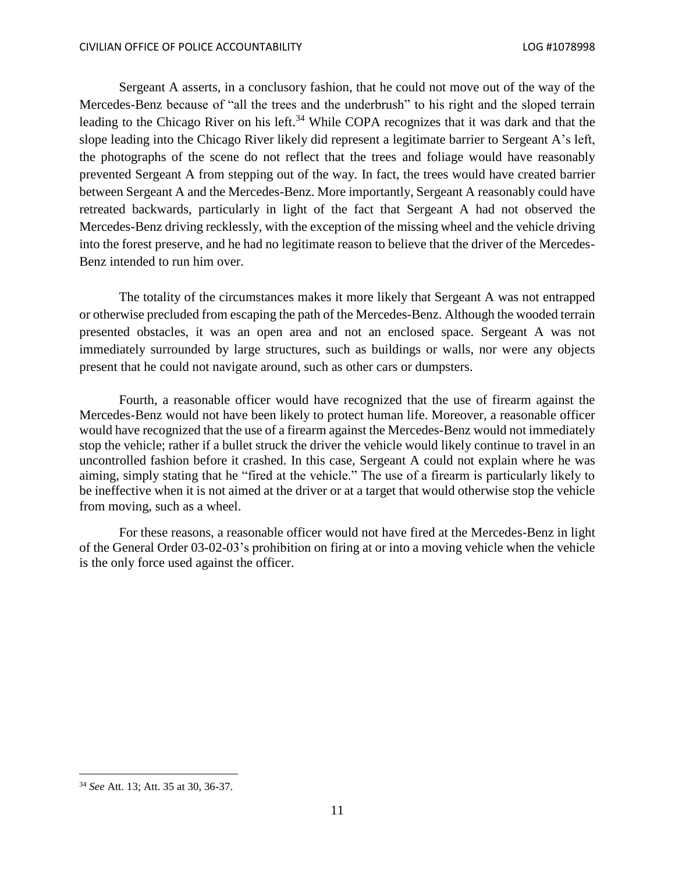Sergeant A asserts, in a conclusory fashion, that he could not move out of the way of the Mercedes-Benz because of "all the trees and the underbrush" to his right and the sloped terrain leading to the Chicago River on his left.<sup>34</sup> While COPA recognizes that it was dark and that the slope leading into the Chicago River likely did represent a legitimate barrier to Sergeant A's left, the photographs of the scene do not reflect that the trees and foliage would have reasonably prevented Sergeant A from stepping out of the way. In fact, the trees would have created barrier between Sergeant A and the Mercedes-Benz. More importantly, Sergeant A reasonably could have retreated backwards, particularly in light of the fact that Sergeant A had not observed the Mercedes-Benz driving recklessly, with the exception of the missing wheel and the vehicle driving into the forest preserve, and he had no legitimate reason to believe that the driver of the Mercedes-Benz intended to run him over.

The totality of the circumstances makes it more likely that Sergeant A was not entrapped or otherwise precluded from escaping the path of the Mercedes-Benz. Although the wooded terrain presented obstacles, it was an open area and not an enclosed space. Sergeant A was not immediately surrounded by large structures, such as buildings or walls, nor were any objects present that he could not navigate around, such as other cars or dumpsters.

Fourth, a reasonable officer would have recognized that the use of firearm against the Mercedes-Benz would not have been likely to protect human life. Moreover, a reasonable officer would have recognized that the use of a firearm against the Mercedes-Benz would not immediately stop the vehicle; rather if a bullet struck the driver the vehicle would likely continue to travel in an uncontrolled fashion before it crashed. In this case, Sergeant A could not explain where he was aiming, simply stating that he "fired at the vehicle." The use of a firearm is particularly likely to be ineffective when it is not aimed at the driver or at a target that would otherwise stop the vehicle from moving, such as a wheel.

For these reasons, a reasonable officer would not have fired at the Mercedes-Benz in light of the General Order 03-02-03's prohibition on firing at or into a moving vehicle when the vehicle is the only force used against the officer.

 $\overline{\phantom{a}}$ 

<sup>34</sup> *See* Att. 13; Att. 35 at 30, 36-37.